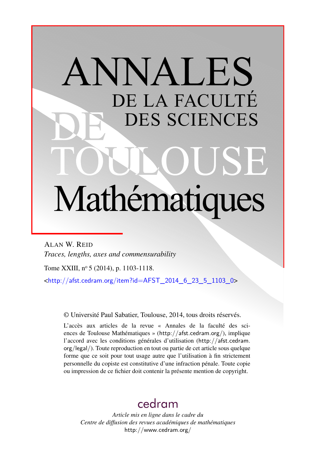# ANNALES DE LA FACULTÉ DES SCIENCES Mathématiques

ALAN W. REID *Traces, lengths, axes and commensurability*

Tome XXIII, nº 5 (2014), p. 1103-1118.

 $\frac{\text{th}}{\text{t}}/$ /afst.cedram.org/item?id=AFST\_2014\_6\_23\_5\_1103\_0>

© Université Paul Sabatier, Toulouse, 2014, tous droits réservés.

L'accès aux articles de la revue « Annales de la faculté des sciences de Toulouse Mathématiques » (<http://afst.cedram.org/>), implique l'accord avec les conditions générales d'utilisation ([http://afst.cedram.](http://afst.cedram.org/legal/) [org/legal/](http://afst.cedram.org/legal/)). Toute reproduction en tout ou partie de cet article sous quelque forme que ce soit pour tout usage autre que l'utilisation à fin strictement personnelle du copiste est constitutive d'une infraction pénale. Toute copie ou impression de ce fichier doit contenir la présente mention de copyright.

# [cedram](http://www.cedram.org/)

*Article mis en ligne dans le cadre du Centre de diffusion des revues académiques de mathématiques* <http://www.cedram.org/>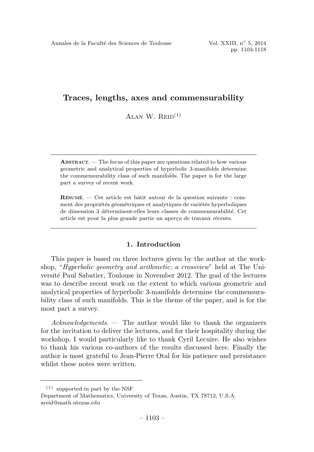ALAN W.  $R_{\text{EID}}^{(1)}$ 

ABSTRACT. —The focus of this paper are questions related to how various geometric and analytical properties of hyperbolic 3-manifolds determine the commensurability class of such manifolds. The paper is for the large part a survey of recent work.

 $R$ ÉSUMÉ. — Cet article est bâtit autour de la question suivante : comment des propriétés géométriques et analytiques de variétés hyperboliques de dimension 3 déterminent-elles leurs classes de commensurabilité. Cet article est pour la plus grande partie un aperçu de travaux récents.

# 1. Introduction

This paper is based on three lectures given by the author at the workshop, "Hyperbolic geometry and arithmetic: a crossview" held at The Université Paul Sabatier, Toulouse in November 2012. The goal of the lectures was to describe recent work on the extent to which various geometric and analytical properties of hyperbolic 3-manifolds determine the commensurability class of such manifolds. This is the theme of the paper, and is for the most part a survey.

 $Acknowledgements.$  The author would like to thank the organizers for the invitation to deliver the lectures, and for their hospitality during the workshop. I would particularly like to thank Cyril Lecuire. He also wishes to thank his various co-authors of the results discussed here. Finally the author is most grateful to Jean-Pierre Otal for his patience and persistance whilst these notes were written.

<sup>(1)</sup> supported in part by the NSF

Department of Mathematics, University of Texas, Austin, TX 78712, U.S.A. areid@math.utexas.edu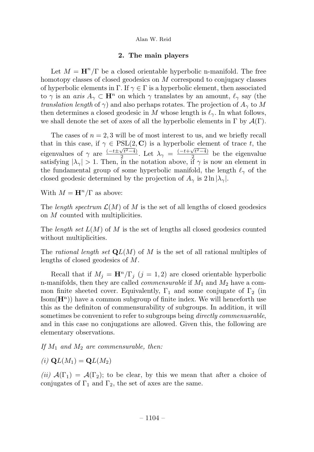# 2. The main players

Let  $M = H^n/\Gamma$  be a closed orientable hyperbolic n-manifold. The free homotopy classes of closed geodesics on  $M$  correspond to conjugacy classes of hyperbolic elements in Γ. If  $\gamma \in \Gamma$  is a hyperbolic element, then associated to  $\gamma$  is an *axis*  $A_{\gamma} \subset \mathbf{H}^n$  on which  $\gamma$  translates by an amount,  $\ell_{\gamma}$  say (the *translation length* of  $\gamma$ ) and also perhaps rotates. The projection of  $A_{\gamma}$  to M then determines a closed geodesic in M whose length is  $\ell_{\gamma}$ . In what follows, we shall denote the set of axes of all the hyperbolic elements in  $\Gamma$  by  $\mathcal{A}(\Gamma)$ .

The cases of  $n = 2, 3$  will be of most interest to us, and we briefly recall that in this case, if  $\gamma \in \text{PSL}(2, \mathbb{C})$  is a hyperbolic element of trace t, the eigenvalues of  $\gamma$  are  $\frac{(-t\pm\sqrt{t^2-4})}{2}$ . Let  $\lambda_{\gamma} = \frac{(-t+\sqrt{t^2-4})}{2}$  be the eigenvalue satisfying  $|\lambda_{\gamma}| > 1$ . Then, in the notation above, if  $\gamma$  is now an element in the fundamental group of some hyperbolic manifold, the length  $\ell_{\gamma}$  of the closed geodesic determined by the projection of  $A_{\gamma}$  is  $2 \ln |\lambda_{\gamma}|$ .

With  $M = \mathbf{H}^n/\Gamma$  as above:

The length spectrum  $\mathcal{L}(M)$  of M is the set of all lengths of closed geodesics on M counted with multiplicities.

The length set  $L(M)$  of M is the set of lengths all closed geodesics counted without multiplicities.

The rational length set  $\mathbf{Q}L(M)$  of M is the set of all rational multiples of lengths of closed geodesics of M.

Recall that if  $M_i = \mathbf{H}^n/\Gamma_i$   $(j = 1, 2)$  are closed orientable hyperbolic n-manifolds, then they are called *commensurable* if  $M_1$  and  $M_2$  have a common finite sheeted cover. Equivalently,  $\Gamma_1$  and some conjugate of  $\Gamma_2$  (in  $\text{Isom}(\mathbf{H}^n)$  have a common subgroup of finite index. We will henceforth use this as the definiton of commensurability of subgroups. In addition, it will sometimes be convenient to refer to subgroups being *directly commenusrable*, and in this case no conjugations are allowed. Given this, the following are elementary observations.

If  $M_1$  and  $M_2$  are commensurable, then:

(i)  $\mathbf{Q}L(M_1) = \mathbf{Q}L(M_2)$ 

(ii)  $\mathcal{A}(\Gamma_1) = \mathcal{A}(\Gamma_2)$ ; to be clear, by this we mean that after a choice of conjugates of  $\Gamma_1$  and  $\Gamma_2$ , the set of axes are the same.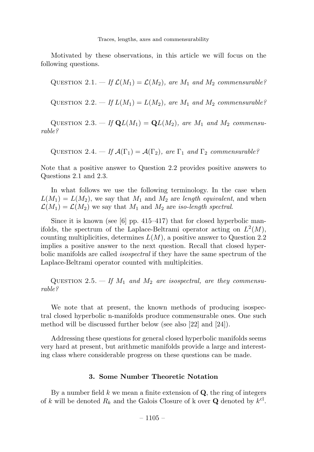Motivated by these observations, in this article we will focus on the following questions.

QUESTION 2.1. – If  $\mathcal{L}(M_1) = \mathcal{L}(M_2)$ , are  $M_1$  and  $M_2$  commensurable?

QUESTION 2.2. — If  $L(M_1) = L(M_2)$ , are  $M_1$  and  $M_2$  commensurable?

QUESTION 2.3. – If  $\mathbf{Q}L(M_1) = \mathbf{Q}L(M_2)$ , are  $M_1$  and  $M_2$  commensurable?

QUESTION 2.4. — If  $\mathcal{A}(\Gamma_1) = \mathcal{A}(\Gamma_2)$ , are  $\Gamma_1$  and  $\Gamma_2$  commensurable?

Note that a positive answer to Question 2.2 provides positive answers to Questions 2.1 and 2.3.

In what follows we use the following terminology. In the case when  $L(M_1) = L(M_2)$ , we say that  $M_1$  and  $M_2$  are length equivalent, and when  $\mathcal{L}(M_1) = \mathcal{L}(M_2)$  we say that  $M_1$  and  $M_2$  are iso-length spectral.

Since it is known (see [6] pp. 415–417) that for closed hyperbolic manifolds, the spectrum of the Laplace-Beltrami operator acting on  $L^2(M)$ , counting multiplicities, determines  $L(M)$ , a positive answer to Question 2.2 implies a positive answer to the next question. Recall that closed hyperbolic manifolds are called *isospectral* if they have the same spectrum of the Laplace-Beltrami operator counted with multiplcities.

QUESTION 2.5.  $-$  If  $M_1$  and  $M_2$  are isospectral, are they commensurable?

We note that at present, the known methods of producing isospectral closed hyperbolic n-manifolds produce commensurable ones. One such method will be discussed further below (see also [22] and [24]).

Addressing these questions for general closed hyperbolic manifolds seems very hard at present, but arithmetic manifolds provide a large and interesting class where considerable progress on these questions can be made.

# 3. Some Number Theoretic Notation

By a number field  $k$  we mean a finite extension of  $Q$ , the ring of integers of k will be denoted  $R_k$  and the Galois Closure of k over **Q** denoted by  $k^{\text{cl}}$ .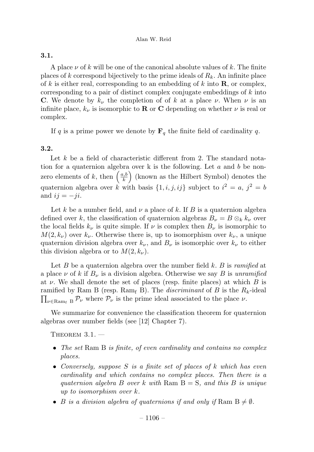# 3.1.

A place  $\nu$  of k will be one of the canonical absolute values of k. The finite places of k correspond bijectively to the prime ideals of  $R_k$ . An infinite place of k is either real, corresponding to an embedding of k into  $\bf{R}$ , or complex, corresponding to a pair of distinct complex conjugate embeddings of  $k$  into C. We denote by  $k_{\nu}$  the completion of of k at a place  $\nu$ . When  $\nu$  is an infinite place,  $k_{\nu}$  is isomorphic to **R** or **C** depending on whether  $\nu$  is real or complex.

If q is a prime power we denote by  $\mathbf{F}_q$  the finite field of cardinality q.

# 3.2.

Let  $k$  be a field of characteristic different from 2. The standard notation for a quaternion algebra over k is the following. Let  $a$  and  $b$  be nonzero elements of k, then  $\left(\frac{a,b}{k}\right)$  (known as the Hilbert Symbol) denotes the quaternion algebra over k with basis  $\{1, i, j, ij\}$  subject to  $i^2 = a, j^2 = b$ and  $ij = -ji$ .

Let k be a number field, and  $\nu$  a place of k. If B is a quaternion algebra defined over k, the classification of quaternion algebras  $B_{\nu} = B \otimes_k k_{\nu}$  over the local fields  $k_{\nu}$  is quite simple. If  $\nu$  is complex then  $B_{\nu}$  is isomorphic to  $M(2, k_{\nu})$  over  $k_{\nu}$ . Otherwise there is, up to isomorphism over  $k_{\nu}$ , a unique quaternion division algebra over  $k_{\nu}$ , and  $B_{\nu}$  is isomorphic over  $k_{\nu}$  to either this division algebra or to  $M(2, k_{\nu}).$ 

Let  $B$  be a quaternion algebra over the number field  $k$ .  $B$  is *ramified* at a place  $\nu$  of k if  $B_{\nu}$  is a division algebra. Otherwise we say B is unramified at  $\nu$ . We shall denote the set of places (resp. finite places) at which  $B$  is ramified by Ram B (resp.  $\text{Ram}_{f}$  B). The *discriminant* of B is the  $R_k$ -ideal  $\prod_{\nu\in\text{Ram}_f} B$   $\mathcal{P}_\nu$  where  $\mathcal{P}_\nu$  is the prime ideal associated to the place  $\nu$ .

We summarize for convenience the classification theorem for quaternion algebras over number fields (see [12] Chapter 7).

THEOREM  $3.1.$  —

- The set Ram  $\mathbf{B}$  is finite, of even cardinality and contains no complex places.
- Conversely, suppose S is a finite set of places of k which has even cardinality and which contains no complex places. Then there is a quaternion algebra B over k with Ram  $B = S$ , and this B is unique up to isomorphism over k.
- B is a division algebra of quaternions if and only if Ram  $B \neq \emptyset$ .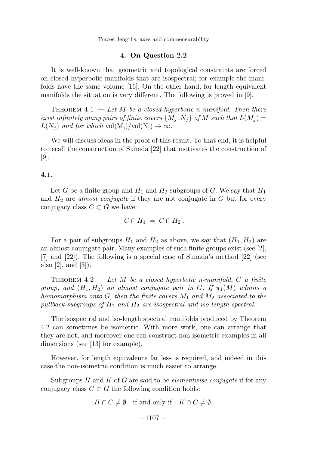#### 4. On Question 2.2

It is well-known that geometric and topological constraints are forced on closed hyperbolic manifolds that are isospectral; for example the manifolds have the same volume [16]. On the other hand, for length equivalent manifolds the situation is very different. The following is proved in [9].

THEOREM 4.1.  $-$  Let M be a closed hyperbolic n-manifold. Then there exist infinitely many pairs of finite covers  $\{M_j, N_j\}$  of M such that  $L(M_j)$  =  $L(N_i)$  and for which vol $(M_j)/vol(N_j) \rightarrow \infty$ .

We will discuss ideas in the proof of this result. To that end, it is helpful to recall the construction of Sunada [22] that motivates the construction of [9].

## 4.1.

Let G be a finite group and  $H_1$  and  $H_2$  subgroups of G. We say that  $H_1$ and  $H_2$  are *almost conjugate* if they are not conjugate in  $G$  but for every conjugacy class  $C \subset G$  we have:

$$
|C \cap H_1| = |C \cap H_2|.
$$

For a pair of subgroups  $H_1$  and  $H_2$  as above, we say that  $(H_1, H_2)$  are an almost conjugate pair. Many examples of such finite groups exist (see [2], [7] and [22]). The following is a special case of Sunada's method [22] (see also [2], and [3]).

THEOREM 4.2.  $-$  Let M be a closed hyperbolic n-manifold, G a finite group, and  $(H_1, H_2)$  an almost conjugate pair in G. If  $\pi_1(M)$  admits a homomorphism onto G, then the finite covers  $M_1$  and  $M_2$  associated to the pullback subgroups of  $H_1$  and  $H_2$  are isospectral and iso-length spectral.

The isospectral and iso-length spectral manifolds produced by Theorem 4.2 can sometimes be isometric. With more work, one can arrange that they are not, and moreover one can construct non-isometric examples in all dimensions (see [13] for example).

However, for length equivalence far less is required, and indeed in this case the non-isometric condition is much easier to arrange.

Subgroups H and K of G are said to be *elementwise conjugate* if for any conjugacy class  $C \subset G$  the following condition holds:

$$
H \cap C \neq \emptyset \quad \text{if and only if} \quad K \cap C \neq \emptyset.
$$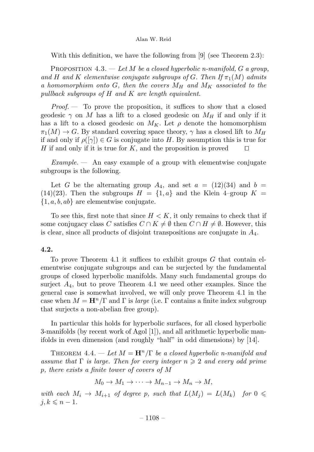With this definition, we have the following from  $[9]$  (see Theorem 2.3):

PROPOSITION 4.3. — Let M be a closed hyperbolic n-manifold, G a group, and H and K elementwise conjugate subgroups of G. Then If  $\pi_1(M)$  admits a homomorphism onto G, then the covers  $M_H$  and  $M_K$  associated to the pullback subgroups of H and K are length equivalent.

*Proof.*  $\qquad$  To prove the proposition, it suffices to show that a closed geodesic  $\gamma$  on M has a lift to a closed geodesic on  $M_H$  if and only if it has a lift to a closed geodesic on  $M_K$ . Let  $\rho$  denote the homomorphism  $\pi_1(M) \to G$ . By standard covering space theory,  $\gamma$  has a closed lift to  $M_H$ if and only if  $\rho([\gamma]) \in G$  is conjugate into H. By assumption this is true for H if and only if it is true for K, and the proposition is proved  $\square$ H if and only if it is true for  $K$ , and the proposition is proved

 $Example.$  An easy example of a group with elementwise conjugate subgroups is the following.

Let G be the alternating group  $A_4$ , and set  $a = (12)(34)$  and  $b =$  $(14)(23)$ . Then the subgroups  $H = \{1, a\}$  and the Klein 4–group  $K =$  $\{1, a, b, ab\}$  are elementwise conjugate.

To see this, first note that since  $H < K$ , it only remains to check that if some conjugacy class C satisfies  $C \cap K \neq \emptyset$  then  $C \cap H \neq \emptyset$ . However, this is clear, since all products of disjoint transpositions are conjugate in  $A_4$ .

# 4.2.

To prove Theorem 4.1 it suffices to exhibit groups  $G$  that contain elementwise conjugate subgroups and can be surjected by the fundamental groups of closed hyperbolic manifolds. Many such fundamental groups do surject  $A_4$ , but to prove Theorem 4.1 we need other examples. Since the general case is somewhat involved, we will only prove Theorem 4.1 in the case when  $M = \mathbf{H}^n/\Gamma$  and  $\Gamma$  is *large* (i.e.  $\Gamma$  contains a finite index subgroup that surjects a non-abelian free group).

In particular this holds for hyperbolic surfaces, for all closed hyperbolic 3-manifolds (by recent work of Agol [1]), and all arithmetic hyperbolic manifolds in even dimension (and roughly "half" in odd dimensions) by [14].

THEOREM 4.4. — Let  $M = H^n/\Gamma$  be a closed hyperbolic n-manifold and assume that  $\Gamma$  is large. Then for every integer  $n \geqslant 2$  and every odd prime p, there exists a finite tower of covers of M

$$
M_0 \to M_1 \to \cdots \to M_{n-1} \to M_n \to M,
$$

with each  $M_i \to M_{i+1}$  of degree p, such that  $L(M_j) = L(M_k)$  for  $0 \leq$  $j, k \leqslant n - 1.$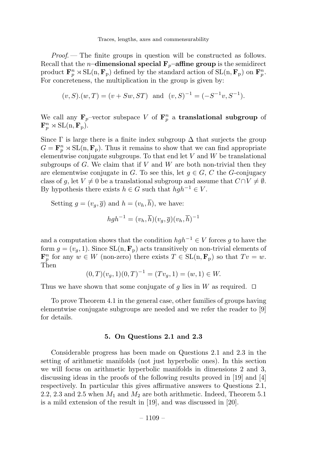Proof. — The finite groups in question will be constructed as follows. Recall that the *n*-dimensional special  $\mathbf{F}_p$ -affine group is the semidirect product  $\mathbf{F}_p^n \rtimes \mathrm{SL}(n, \mathbf{F}_p)$  defined by the standard action of  $\mathrm{SL}(n, \mathbf{F}_p)$  on  $\mathbf{F}_p^n$ . For concreteness, the multiplication in the group is given by:

$$
(v, S)
$$
. $(w, T) = (v + Sw, ST)$  and  $(v, S)^{-1} = (-S^{-1}v, S^{-1})$ .

We call any  $\mathbf{F}_p$ -vector subspace V of  $\mathbf{F}_p^n$  a translational subgroup of  $\mathbf{F}_p^n \rtimes \mathrm{SL}(\mathbf{n}, \mathbf{F}_p).$ 

Since  $\Gamma$  is large there is a finite index subgroup  $\Delta$  that surjects the group  $G = \mathbf{F}_p^n \rtimes SL(n, \mathbf{F}_p)$ . Thus it remains to show that we can find appropriate elementwise conjugate subgroups. To that end let  $V$  and  $W$  be translational subgroups of  $G$ . We claim that if  $V$  and  $W$  are both non-trivial then they are elementwise conjugate in G. To see this, let  $g \in G$ , C the G-conjugacy class of g, let  $V \neq 0$  be a translational subgroup and assume that  $C \cap V \neq \emptyset$ . By hypothesis there exists  $h \in G$  such that  $hgh^{-1} \in V$ .

Setting 
$$
g = (v_g, \overline{g})
$$
 and  $h = (v_h, \overline{h})$ , we have:  

$$
hgh^{-1} = (v_h, \overline{h})(v_g, \overline{g})(v_h, \overline{h})^{-1}
$$

and a computation shows that the condition  $hgh^{-1} \in V$  forces g to have the form  $g = (v_g, 1)$ . Since  $SL(n, \mathbf{F}_p)$  acts transitively on non-trivial elements of  $\mathbf{F}_p^n$  for any  $w \in W$  (non-zero) there exists  $T \in SL(n, \mathbf{F}_p)$  so that  $Tv = w$ . Then

$$
(0,T)(v_g,1)(0,T)^{-1} = (Tv_g,1) = (w,1) \in W.
$$

Thus we have shown that some conjugate of g lies in W as required.  $\Box$ 

To prove Theorem4.1 in the general case, other families of groups having elementwise conjugate subgroups are needed and we refer the reader to [9] for details.

#### 5. On Questions 2.1and 2.3

Considerable progress has been made on Questions 2.1 and 2.3 in the setting of arithmetic manifolds (not just hyperbolic ones). In this section we will focus on arithmetic hyperbolic manifolds in dimensions 2 and 3, discussing ideas in the proofs of the following results proved in [19] and [4] respectively. In particular this gives affirmative answers to Questions 2.1, 2.2, 2.3 and 2.5 when  $M_1$  and  $M_2$  are both arithmetic. Indeed, Theorem 5.1 is a mild extension of the result in [19], and was discussed in [20].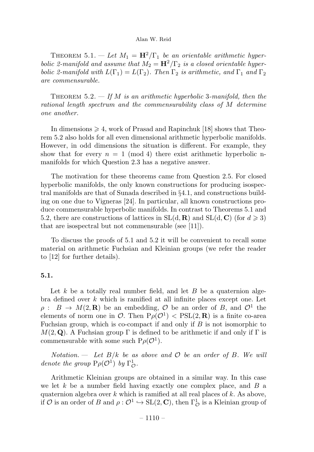THEOREM 5.1. — Let  $M_1 = \mathbf{H}^2/\Gamma_1$  be an orientable arithmetic hyperbolic 2-manifold and assume that  $M_2 = H^2/\Gamma_2$  is a closed orientable hyperbolic 2-manifold with  $L(\Gamma_1) = L(\Gamma_2)$ . Then  $\Gamma_2$  is arithmetic, and  $\Gamma_1$  and  $\Gamma_2$ are commensurable.

THEOREM 5.2.  $\equiv$  If M is an arithmetic hyperbolic 3-manifold, then the rational length spectrum and the commensurability class of M determine one another.

In dimensions  $\geq 4$ , work of Prasad and Rapinchuk [18] shows that Theorem 5.2 also holds for all even dimensional arithmetic hyperbolic manifolds. However, in odd dimensions the situation is different. For example, they show that for every  $n = 1 \pmod{4}$  there exist arithmetic hyperbolic nmanifolds for which Question 2.3 has a negative answer.

The motivation for these theorems came from Question 2.5. For closed hyperbolic manifolds, the only known constructions for producing isospectral manifolds are that of Sunada described in §4.1, and constructions building on one due to Vigneras [24]. In particular, all known constructions produce commensurable hyperbolic manifolds. In contrast to Theorems 5.1 and 5.2, there are constructions of lattices in  $SL(d, \mathbf{R})$  and  $SL(d, \mathbf{C})$  (for  $d \geq 3$ ) that are isospectral but not commensurable (see [11]).

To discuss the proofs of 5.1 and 5.2 it will be convenient to recall some material on arithmetic Fuchsian and Kleinian groups (we refer the reader to [12] for further details).

#### 5.1.

Let k be a totally real number field, and let B be a quaternion algebra defined over k which is ramified at all infinite places except one. Let  $\rho: B \to M(2,\mathbf{R})$  be an embedding,  $\mathcal O$  be an order of B, and  $\mathcal O^1$  the elements of norm one in  $\mathcal{O}$ . Then  $P_{\rho}(\mathcal{O}^1)$  < PSL(2, **R**) is a finite co-area Fuchsian group, which is co-compact if and only if  $B$  is not isomorphic to  $M(2, \mathbf{Q})$ . A Fuchsian group  $\Gamma$  is defined to be arithmetic if and only if  $\Gamma$  is commensurable with some such  $P_{\rho}(\mathcal{O}^1)$ .

Notation.  $\cdots$  Let  $B/k$  be as above and  $\mathcal O$  be an order of B. We will denote the group  $P\rho(\mathcal{O}^1)$  by  $\Gamma^1_{\mathcal{O}}$ .

Arithmetic Kleinian groups are obtained in a similar way. In this case we let k be a number field having exactly one complex place, and  $B$  a quaternion algebra over k which is ramified at all real places of k. As above, if  $O$  is an order of B and  $\rho: \mathcal{O}^1 \hookrightarrow SL(2, \mathbb{C})$ , then  $\Gamma^1_{\mathcal{O}}$  is a Kleinian group of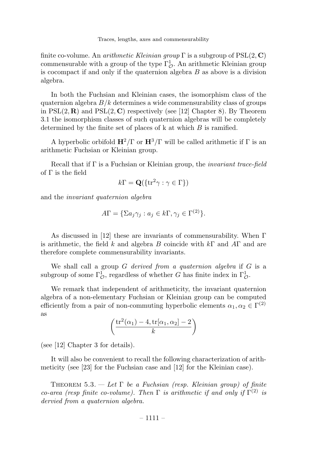finite co-volume. An *arithmetic Kleinian group*  $\Gamma$  is a subgroup of  $PSL(2, \mathbb{C})$ commensurable with a group of the type  $\Gamma^1_{\mathcal{O}}$ . An arithmetic Kleinian group is cocompact if and only if the quaternion algebra  $B$  as above is a division algebra.

In both the Fuchsian and Kleinian cases, the isomorphism class of the quaternion algebra  $B/k$  determines a wide commensurability class of groups in  $PSL(2, \mathbf{R})$  and  $PSL(2, \mathbf{C})$  respectively (see [12] Chapter 8). By Theorem 3.1 the isomorphism classes of such quaternion algebras will be completely determined by the finite set of places of k at which B is ramified.

A hyperbolic orbifold  $\mathbf{H}^2/\Gamma$  or  $\mathbf{H}^3/\Gamma$  will be called arithmetic if  $\Gamma$  is an arithmetic Fuchsian or Kleinian group.

Recall that if  $\Gamma$  is a Fuchsian or Kleinian group, the *invariant trace-field* of Γ is the field

$$
k\Gamma = \mathbf{Q}(\{\mathrm{tr}^2\gamma : \gamma \in \Gamma\})
$$

and the invariant quaternion algebra

$$
A\Gamma = \{ \Sigma a_j \gamma_j : a_j \in k\Gamma, \gamma_j \in \Gamma^{(2)} \}.
$$

As discussed in [12] these are invariants of commensurability. When Γ is arithmetic, the field k and algebra B coincide with  $k\Gamma$  and  $A\Gamma$  and are therefore complete commensurability invariants.

We shall call a group  $G$  derived from a quaternion algebra if  $G$  is a subgroup of some  $\Gamma^1_{\mathcal{O}}$ , regardless of whether G has finite index in  $\Gamma^1_{\mathcal{O}}$ .

We remark that independent of arithmeticity, the invariant quaternion algebra of a non-elementary Fuchsian or Kleinian group can be computed efficiently from a pair of non-commuting hyperbolic elements  $\alpha_1, \alpha_2 \in \Gamma^{(2)}$ as

$$
\left(\frac{\operatorname{tr}^2(\alpha_1)-4,\operatorname{tr}[\alpha_1,\alpha_2]-2}{k}\right)
$$

(see [12] Chapter 3 for details).

It will also be convenient to recall the following characterization of arithmeticity (see [23] for the Fuchsian case and [12] for the Kleinian case).

THEOREM 5.3. — Let  $\Gamma$  be a Fuchsian (resp. Kleinian group) of finite co-area (resp finite co-volume). Then  $\Gamma$  is arithmetic if and only if  $\Gamma^{(2)}$  is dervied from a quaternion algebra.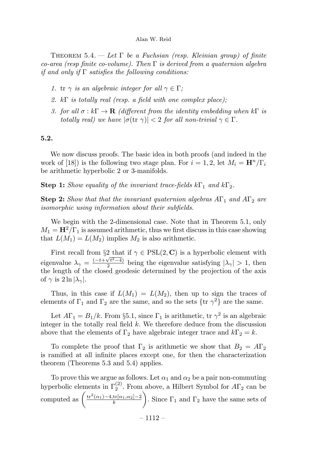THEOREM  $5.4.$  — Let  $\Gamma$  be a Fuchsian (resp. Kleinian group) of finite co-area (resp finite co-volume). Then  $\Gamma$  is derived from a quaternion algebra if and only if  $\Gamma$  satisfies the following conditions:

- 1. tr  $\gamma$  is an algebraic integer for all  $\gamma \in \Gamma$ ;
- 2. kΓ is totally real (resp. a field with one complex place);
- 3. for all  $\sigma : k\Gamma \to \mathbf{R}$  (different from the identity embedding when  $k\Gamma$  is totally real) we have  $|\sigma(\text{tr }\gamma)| < 2$  for all non-trivial  $\gamma \in \Gamma$ .

# 5.2.

We now discuss proofs. The basic idea in both proofs (and indeed in the work of [18]) is the following two stage plan. For  $i = 1, 2$ , let  $M_i = \mathbf{H}^n/\Gamma_i$ be arithmetic hyperbolic 2 or 3-manifolds.

**Step 1:** Show equality of the invariant trace-fields  $k\Gamma_1$  and  $k\Gamma_2$ .

**Step 2:** Show that that the invariant quaternion algebras  $A\Gamma_1$  and  $A\Gamma_2$  are isomorphic using information about their subfields.

We begin with the 2-dimensional case. Note that in Theorem 5.1, only  $M_1 = H^2/\Gamma_1$  is assumed arithmetic, thus we first discuss in this case showing that  $L(M_1) = L(M_2)$  implies  $M_2$  is also arithmetic.

First recall from §2 that if  $\gamma \in \text{PSL}(2, \mathbb{C})$  is a hyperbolic element with eigenvalue  $\lambda_{\gamma} = \frac{(-t+\sqrt{t^2-4})}{2}$  being the eigenvalue satisfying  $|\lambda_{\gamma}| > 1$ , then the length of the closed geodesic determined by the projection of the axis of  $\gamma$  is  $2 \ln |\lambda_{\gamma}|$ .

Thus, in this case if  $L(M_1) = L(M_2)$ , then up to sign the traces of elements of  $\Gamma_1$  and  $\Gamma_2$  are the same, and so the sets  $\{\text{tr } \gamma^2\}$  are the same.

Let  $A\Gamma_1 = B_1/k$ . From §5.1, since  $\Gamma_1$  is arithmetic, tr  $\gamma^2$  is an algebraic integer in the totally real field  $k$ . We therefore deduce from the discussion above that the elements of  $\Gamma_2$  have algebraic integer trace and  $k\Gamma_2 = k$ .

To complete the proof that  $\Gamma_2$  is arithmetic we show that  $B_2 = A\Gamma_2$ is ramified at all infinite places except one, for then the characterization theorem(Theorems 5.3 and 5.4) applies.

To prove this we argue as follows. Let  $\alpha_1$  and  $\alpha_2$  be a pair non-commuting hyperbolic elements in  $\Gamma_2^{(2)}$ . From above, a Hilbert Symbol for  $A\Gamma_2$  can be computed as  $\left(\frac{\text{tr}^2(\alpha_1)-4,\text{tr}[\alpha_1,\alpha_2]-2}{k}\right)$  $\setminus$ . Since  $\Gamma_1$  and  $\Gamma_2$  have the same sets of

– 1112 –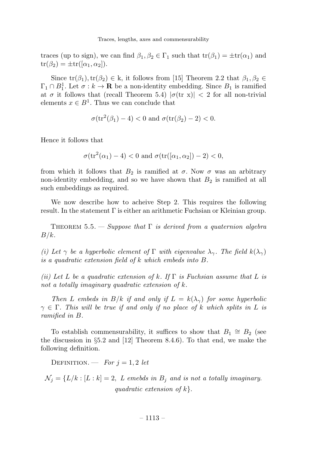traces (up to sign), we can find  $\beta_1, \beta_2 \in \Gamma_1$  such that  $tr(\beta_1) = \pm tr(\alpha_1)$  and  $tr(\beta_2) = \pm tr([\alpha_1, \alpha_2]).$ 

Since  $tr(\beta_1), tr(\beta_2) \in k$ , it follows from [15] Theorem 2.2 that  $\beta_1, \beta_2 \in$  $\Gamma_1 \cap B_1^1$ . Let  $\sigma : k \to \mathbf{R}$  be a non-identity embedding. Since  $B_1$  is ramified at  $\sigma$  it follows that (recall Theorem 5.4)  $|\sigma(\text{tr } x)| < 2$  for all non-trivial elements  $x \in B^1$ . Thus we can conclude that

$$
\sigma(\operatorname{tr}^2(\beta_1)-4) < 0 \text{ and } \sigma(\operatorname{tr}(\beta_2)-2) < 0.
$$

Hence it follows that

$$
\sigma(\text{tr}^2(\alpha_1) - 4) < 0 \text{ and } \sigma(\text{tr}([\alpha_1, \alpha_2]) - 2) < 0,
$$

from which it follows that  $B_2$  is ramified at  $\sigma$ . Now  $\sigma$  was an arbitrary non-identity embedding, and so we have shown that  $B_2$  is ramified at all such embeddings as required.

We now describe how to acheive Step 2. This requires the following result. In the statement Γ is either an arithmetic Fuchsian or Kleinian group.

THEOREM 5.5. — Suppose that  $\Gamma$  is derived from a quaternion algebra  $B/k$ .

(i) Let  $\gamma$  be a hyperbolic element of  $\Gamma$  with eigenvalue  $\lambda_{\gamma}$ . The field  $k(\lambda_{\gamma})$ is a quadratic extension field of k which embeds into B.

(ii) Let L be a quadratic extension of k. If  $\Gamma$  is Fuchsian assume that L is not a totally imaginary quadratic extension of k.

Then L embeds in  $B/k$  if and only if  $L = k(\lambda_{\gamma})$  for some hyperbolic  $\gamma \in \Gamma$ . This will be true if and only if no place of k which splits in L is ramified in B.

To establish commensurability, it suffices to show that  $B_1 \cong B_2$  (see the discussion in  $\S5.2$  and [12] Theorem 8.4.6). To that end, we make the following definition.

DEFINITION. — For  $j = 1, 2$  let

 $\mathcal{N}_j = \{L/k : [L:k] = 2, L$  emebds in  $B_j$  and is not a totally imaginary. quadratic extension of  $k$ .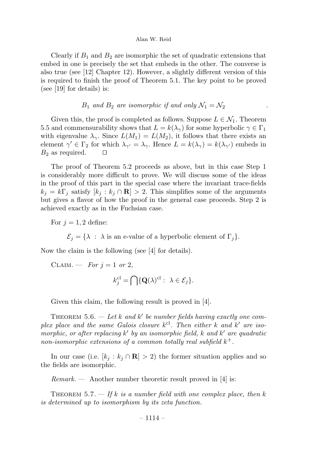Clearly if  $B_1$  and  $B_2$  are isomorphic the set of quadratic extensions that embed in one is precisely the set that embeds in the other. The converse is also true (see [12] Chapter 12). However, a slightly different version of this is required to finish the proof of Theorem 5.1. The key point to be proved (see [19] for details) is:

# $B_1$  and  $B_2$  are isomorphic if and only  $\mathcal{N}_1 = \mathcal{N}_2$

Given this, the proof is completed as follows. Suppose  $L \in \mathcal{N}_1$ . Theorem 5.5 and commensurability shows that  $L = k(\lambda_{\gamma})$  for some hyperbolic  $\gamma \in \Gamma_1$ with eigenvalue  $\lambda_{\gamma}$ . Since  $L(M_1) = L(M_2)$ , it follows that there exists an element  $\gamma' \in \Gamma_2$  for which  $\lambda_{\gamma'} = \lambda_{\gamma}$ . Hence  $L = k(\lambda_{\gamma}) = k(\lambda_{\gamma'})$  embeds in  $B_2$  as required  $B_2$  as required.

The proof of Theorem 5.2 proceeds as above, but in this case Step 1 is considerably more difficult to prove. We will discuss some of the ideas in the proof of this part in the special case where the invariant trace-fields  $k_j = k\Gamma_j$  satisfy  $[k_j : k_j \cap \mathbf{R}] > 2$ . This simplifies some of the arguments but gives a flavor of how the proof in the general case proceeds. Step 2 is achieved exactly as in the Fuchsian case.

For  $i = 1, 2$  define:

 $\mathcal{E}_j = \{ \lambda : \lambda \text{ is an e-value of a hyperbolic element of } \Gamma_j \}.$ 

Now the claim is the following (see [4] for details).

CLAIM. — For  $j = 1$  or 2,

$$
k_j^{\mathrm{cl}} = \bigcap \{ \mathbf{Q}(\lambda)^{\mathrm{cl}}: \ \lambda \in \mathcal{E}_j \}.
$$

Given this claim, the following result is proved in [4].

THEOREM 5.6. — Let k and k' be number fields having exactly one complex place and the same Galois closure  $k^{cl}$ . Then either k and k' are isomorphic, or after replacing  $k'$  by an isomorphic field, k and  $k'$  are quadratic non-isomorphic extensions of a common totally real subfield  $k^+$ .

In our case (i.e.  $[k_j : k_j \cap \mathbf{R}] > 2$ ) the former situation applies and so the fields are isomorphic.

 $Remark.$  - Another number theoretic result proved in [4] is:

THEOREM 5.7. — If k is a number field with one complex place, then k is determined up to isomorphism by its zeta function.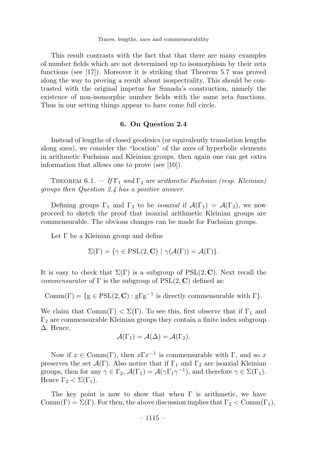This result contrasts with the fact that that there are many examples of number fields which are not determined up to isomorphism by their zeta functions (see [17]). Moreover it is striking that Theorem 5.7 was proved along the way to proving a result about isospectrality. This should be contrasted with the original impetus for Sunada's construction, namely the existence of non-isomorphic number fields with the same zeta functions. Thus in our setting things appear to have come full circle.

#### 6. On Question 2.4

Instead of lengths of closed geodesics (or equivalently translation lengths along axes), we consider the "location" of the axes of hyperbolic elements in arithmetic Fuchsian and Kleinian groups, then again one can get extra information that allows one to prove (see [10]).

THEOREM 6.1. — If  $\Gamma_1$  and  $\Gamma_2$  are arithmetic Fuchsian (resp. Kleinian) groups then Question 2.4 has a positive answer.

Defining groups  $\Gamma_1$  and  $\Gamma_2$  to be *isoaxial* if  $\mathcal{A}(\Gamma_1) = \mathcal{A}(\Gamma_2)$ , we now proceed to sketch the proof that isoaxial arithmetic Kleinian groups are commensurable. The obvious changes can be made for Fuchsian groups.

Let  $\Gamma$  be a Kleinian group and define

$$
\Sigma(\Gamma) = \{ \gamma \in \text{PSL}(2, \mathbf{C}) \mid \gamma(\mathcal{A}(\Gamma)) = \mathcal{A}(\Gamma) \}.
$$

It is easy to check that  $\Sigma(\Gamma)$  is a subgroup of  $PSL(2, \mathbb{C})$ . Next recall the *commensurator* of  $\Gamma$  is the subgroup of  $PSL(2, \mathbb{C})$  defined as:

Comm(Γ) = {g ∈ PSL(2, C) : gΓg<sup>-1</sup> is directly commensurable with Γ}.

We claim that  $Comm(\Gamma) < \Sigma(\Gamma)$ . To see this, first observe that if  $\Gamma_1$  and  $\Gamma_2$  are commensurable Kleinian groups they contain a finite index subgroup ∆. Hence,

$$
\mathcal{A}(\Gamma_1) = \mathcal{A}(\Delta) = \mathcal{A}(\Gamma_2).
$$

Now if  $x \in \text{Comm}(\Gamma)$ , then  $x\Gamma x^{-1}$  is commensurable with  $\Gamma$ , and so x preserves the set  $\mathcal{A}(\Gamma)$ . Also notice that if  $\Gamma_1$  and  $\Gamma_2$  are isoaxial Kleinian groups, then for any  $\gamma \in \Gamma_2$ ,  $\mathcal{A}(\Gamma_1) = \mathcal{A}(\gamma \Gamma_1 \gamma^{-1})$ , and therefore  $\gamma \in \Sigma(\Gamma_1)$ . Hence  $\Gamma_2 < \Sigma(\Gamma_1)$ .

The key point is now to show that when  $\Gamma$  is arithmetic, we have  $\mathrm{Comm}(\Gamma) = \Sigma(\Gamma)$ . For then, the above discussion implies that  $\Gamma_2 < \mathrm{Comm}(\Gamma_1)$ ,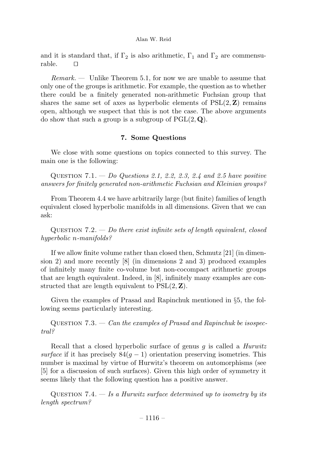and it is standard that, if  $\Gamma_2$  is also arithmetic,  $\Gamma_1$  and  $\Gamma_2$  are commensurable<sub>D</sub>

 $Remark. -$  Unlike Theorem 5.1, for now we are unable to assume that only one of the groups is arithmetic. For example, the question as to whether there could be a finitely generated non-arithmetic Fuchsian group that shares the same set of axes as hyperbolic elements of  $PSL(2, Z)$  remains open, although we suspect that this is not the case. The above arguments do show that such a group is a subgroup of  $PGL(2, \mathbf{Q})$ .

# 7. Some Questions

We close with some questions on topics connected to this survey. The main one is the following:

QUESTION  $7.1. - Do$  Questions 2.1, 2.2, 2.3, 2.4 and 2.5 have positive answers for finitely generated non-arithmetic Fuchsian and Kleinian groups?

FromTheorem4.4 we have arbitrarily large (but finite) families of length equivalent closed hyperbolic manifolds in all dimensions. Given that we can ask:

QUESTION  $7.2. - Do$  there exist infinite sets of length equivalent, closed hyperbolic n-manifolds?

If we allow finite volume rather than closed then, Schmutz [21] (in dimension 2) and more recently [8] (in dimensions 2 and 3) produced examples of infinitely many finite co-volume but non-cocompact arithmetic groups that are length equivalent. Indeed, in [8], infinitely many examples are constructed that are length equivalent to  $PSL(2, Z)$ .

Given the examples of Prasad and Rapinchuk mentioned in §5, the following seems particularly interesting.

QUESTION  $7.3. - Can the examples of Prasad and Rapinchuk be isospec$ tral?

Recall that a closed hyperbolic surface of genus  $g$  is called a *Hurwitz* surface if it has precisely  $84(q - 1)$  orientation preserving isometries. This number is maximal by virtue of Hurwitz's theorem on automorphisms (see [5] for a discussion of such surfaces). Given this high order of symmetry it seems likely that the following question has a positive answer.

QUESTION 7.4.  $-$  Is a Hurwitz surface determined up to isometry by its length spectrum?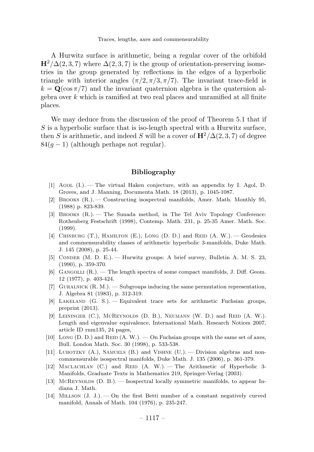A Hurwitz surface is arithmetic, being a regular cover of the orbifold  $H^2/\Delta(2,3,7)$  where  $\Delta(2,3,7)$  is the group of orientation-preserving isometries in the group generated by reflections in the edges of a hyperbolic triangle with interior angles  $(\pi/2, \pi/3, \pi/7)$ . The invariant trace-field is  $k = Q(\cos \pi/7)$  and the invariant quaternion algebra is the quaternion algebra over  $k$  which is ramified at two real places and unramified at all finite places.

We may deduce from the discussion of the proof of Theorem 5.1 that if  $S$  is a hyperbolic surface that is iso-length spectral with a Hurwitz surface, then S is arithmetic, and indeed S will be a cover of  $\mathbf{H}^2/\Delta(2,3,7)$  of degree  $84(q-1)$  (although perhaps not regular).

## Bibliography

- [1] Agol (I.). —The virtual Haken conjecture, with an appendix by I. Agol, D. Groves, and J. Manning, Documenta Math. 18 (2013), p. 1045-1087.
- [2] Brooks (R.). —Constructing isospectral manifolds, Amer. Math. Monthly 95, (1988) p. 823-839.
- [3] Brooks (R.). —The Sunada method, in The Tel Aviv Topology Conference: Rothenberg Festschrift (1998), Contemp. Math. 231, p. 25-35 Amer. Math. Soc. (1999).
- [4] CHINBURG  $(T.)$ , HAMILTON  $(E.)$ , LONG  $(D, D.)$  and REID  $(A, W.)$ . Geodesics and commensurability classes of arithmetic hyperbolic 3-manifolds, Duke Math. J. 145 (2008), p. 25-44.
- [5] Conder (M. D. E.). —Hurwitz groups: A brief survey, Bulletin A. M. S. 23, (1990), p. 359-370.
- [6] GANGOLLI  $(R_.)$ . The length spectra of some compact manifolds, J. Diff. Geom. 12 (1977), p. 403-424.
- [7] GURALNICK  $(R, M)$ .  $\longrightarrow$  Subgroups inducing the same permutation representation, J. Algebra 81 (1983), p. 312-319.
- [8] Lakeland (G. S.). —Equivalent trace sets for arithmetic Fuchsian groups, preprint (2013).
- [9] LEININGER (C.), MCREYNOLDS (D. B.), NEUMANN (W. D.) and REID (A. W.). Length and eigenvalue equivalence, International Math. Research Notices 2007, article ID rnm135, 24 pages,
- [10] Long (D. D.) and REID  $(A, W)$ .  $\longrightarrow$  On Fuchsian groups with the same set of axes, Bull. London Math. Soc. 30 (1998), p. 533-538.
- [11] LUBOTZKY  $(A)$ , SAMUELS  $(B)$  and VISHNE  $(U)$ .  $\rightarrow$  Division algebras and noncommensurable isospectral manifolds, Duke Math. J. 135 (2006), p. 361-379.
- [12] MACLACHLAN (C.) and REID (A. W.). The Arithmetic of Hyperbolic 3-Manifolds, Graduate Texts in Mathematics 219, Springer-Verlag (2003).
- [13] McReynolds (D. B.). Isospectral locally symmetric manifolds, to appear Indiana J. Math.
- [14] Millson (J. J.). —On the first Betti number of a constant negatively curved manifold, Annals of Math. 104 (1976), p. 235-247.